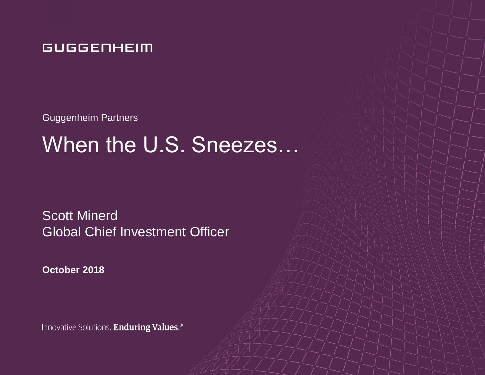### **GUGGENHEIM**

Guggenheim Partners

# When the U.S. Sneezes…

Scott Minerd Global Chief Investment Officer

**October 2018**

Innovative Solutions. Enduring Values.®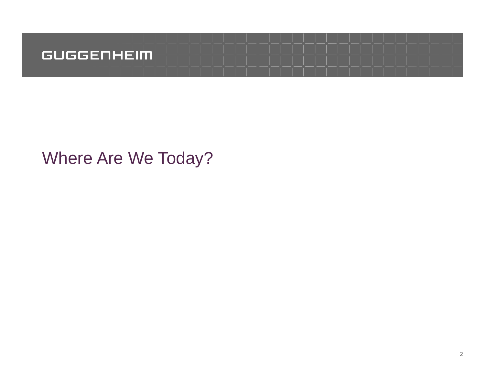

# Where Are We Today?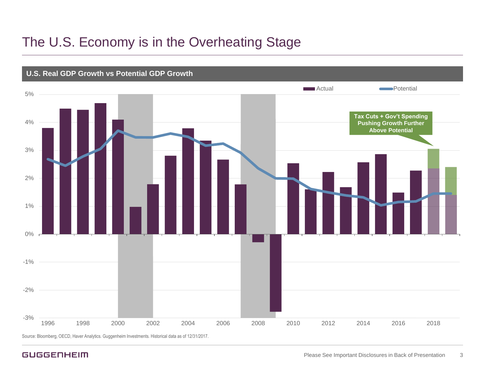### The U.S. Economy is in the Overheating Stage



Source: Bloomberg, OECD, Haver Analytics. Guggenheim Investments. Historical data as of 12/31/2017.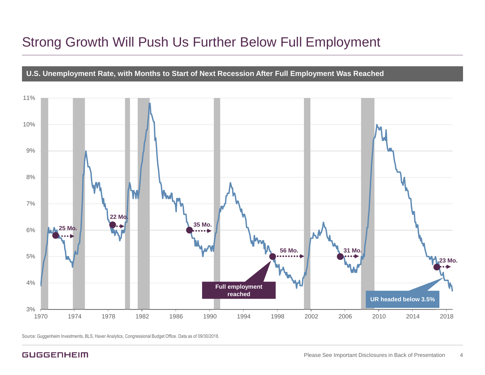### Strong Growth Will Push Us Further Below Full Employment



Source: Guggenheim Investments, BLS, Haver Analytics, Congressional Budget Office. Data as of 09/30/2018.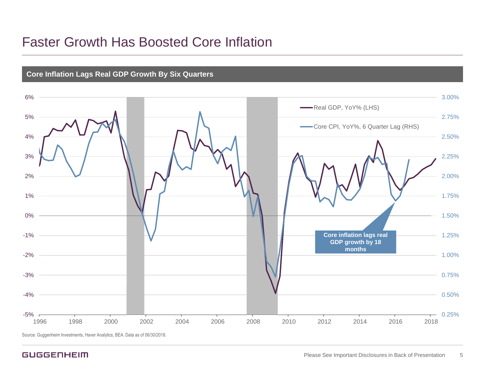### Faster Growth Has Boosted Core Inflation



**Core Inflation Lags Real GDP Growth By Six Quarters**

Source: Guggenheim Investments, Haver Analytics, BEA. Data as of 06/30/2018.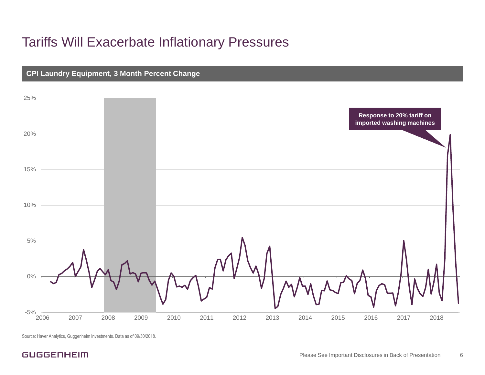### Tariffs Will Exacerbate Inflationary Pressures



Source: Haver Analytics, Guggenheim Investments. Data as of 09/30/2018.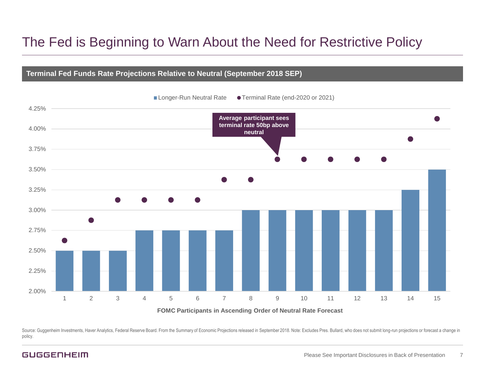### The Fed is Beginning to Warn About the Need for Restrictive Policy

#### **Terminal Fed Funds Rate Projections Relative to Neutral (September 2018 SEP)**



Source: Guggenheim Investments, Haver Analytics, Federal Reserve Board. From the Summary of Economic Projections released in September 2018. Note: Excludes Pres. Bullard, who does not submit long-run projections or forecas policy.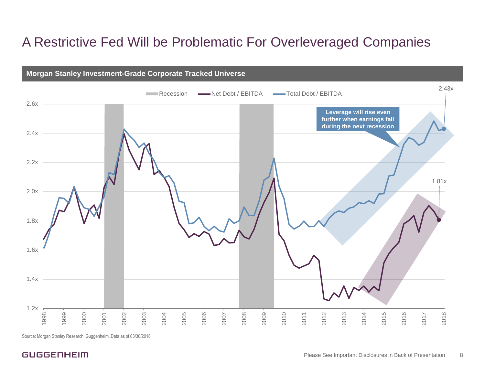### A Restrictive Fed Will be Problematic For Overleveraged Companies

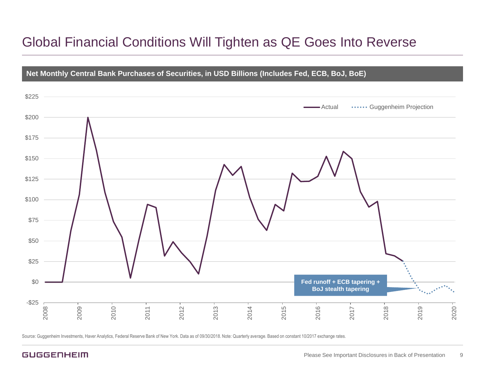### Global Financial Conditions Will Tighten as QE Goes Into Reverse



Source: Guggenheim Investments, Haver Analytics, Federal Reserve Bank of New York. Data as of 09/30/2018. Note: Quarterly average. Based on constant 10/2017 exchange rates.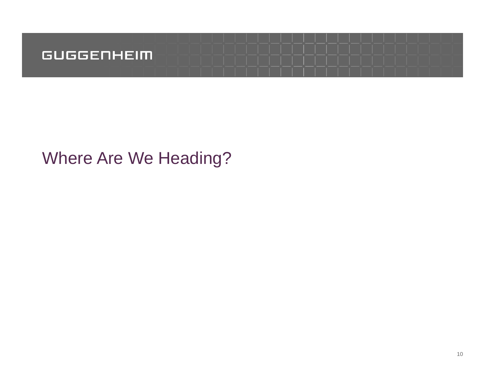

# Where Are We Heading?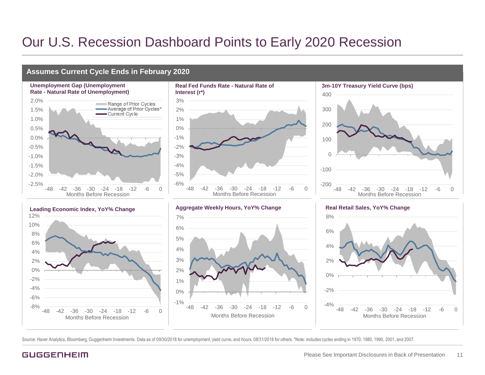### Our U.S. Recession Dashboard Points to Early 2020 Recession

#### **Assumes Current Cycle Ends in February 2020**















**Real Retail Sales, YoY% Change**



Source: Haver Analytics, Bloomberg, Guggenheim Investments. Data as of 09/30/2018 for unemployment, yield curve, and hours, 08/31/2018 for others. \*Note: includes cycles ending in 1970, 1980, 1990, 2001, and 2007.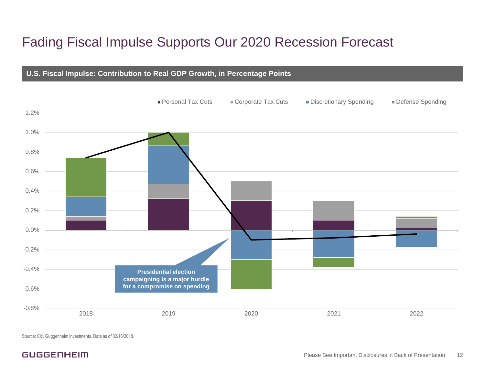### Fading Fiscal Impulse Supports Our 2020 Recession Forecast

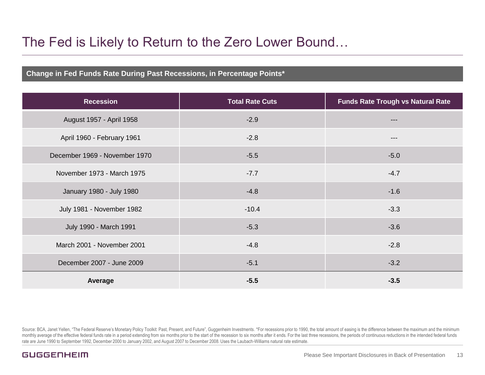### The Fed is Likely to Return to the Zero Lower Bound…

#### **Change in Fed Funds Rate During Past Recessions, in Percentage Points\***

| <b>Recession</b>              | <b>Total Rate Cuts</b> | <b>Funds Rate Trough vs Natural Rate</b> |
|-------------------------------|------------------------|------------------------------------------|
| August 1957 - April 1958      | $-2.9$                 |                                          |
| April 1960 - February 1961    | $-2.8$                 | ---                                      |
| December 1969 - November 1970 | $-5.5$                 | $-5.0$                                   |
| November 1973 - March 1975    | $-7.7$                 | $-4.7$                                   |
| January 1980 - July 1980      | $-4.8$                 | $-1.6$                                   |
| July 1981 - November 1982     | $-10.4$                | $-3.3$                                   |
| July 1990 - March 1991        | $-5.3$                 | $-3.6$                                   |
| March 2001 - November 2001    | $-4.8$                 | $-2.8$                                   |
| December 2007 - June 2009     | $-5.1$                 | $-3.2$                                   |
| Average                       | $-5.5$                 | $-3.5$                                   |

Source: BCA, Janet Yellen, "The Federal Reserve's Monetary Policy Toolkit: Past, Present, and Future", Guggenheim Investments. \*For recessions prior to 1990, the total amount of easing is the difference between the maximum monthly average of the effective federal funds rate in a period extending from six months prior to the start of the recession to six months after it ends. For the last three recessions, the periods of continuous reductions rate are June 1990 to September 1992, December 2000 to January 2002, and August 2007 to December 2008. Uses the Laubach-Williams natural rate estimate.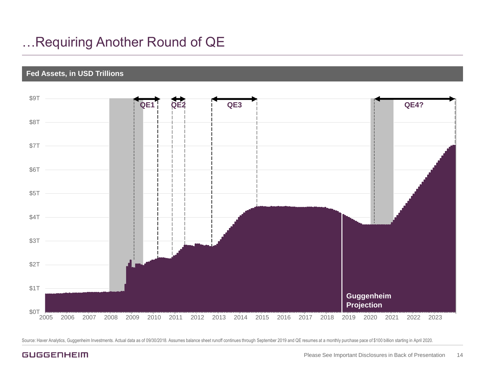### …Requiring Another Round of QE

#### **Fed Assets, in USD Trillions**



Source: Haver Analytics, Guggenheim Investments. Actual data as of 09/30/2018. Assumes balance sheet runoff continues through September 2019 and QE resumes at a monthly purchase pace of \$100 billion starting in April 2020.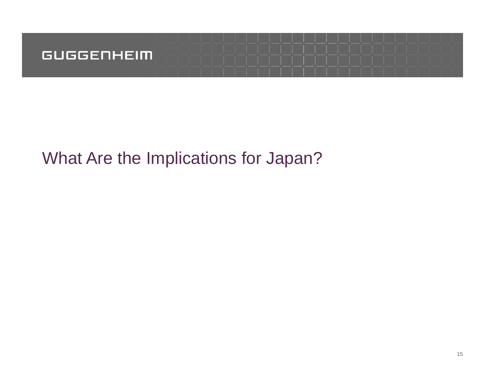

# What Are the Implications for Japan?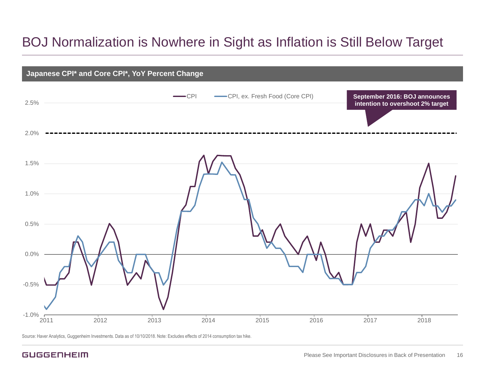### BOJ Normalization is Nowhere in Sight as Inflation is Still Below Target



Source: Haver Analytics, Guggenheim Investments. Data as of 10/10/2018. Note: Excludes effects of 2014 consumption tax hike.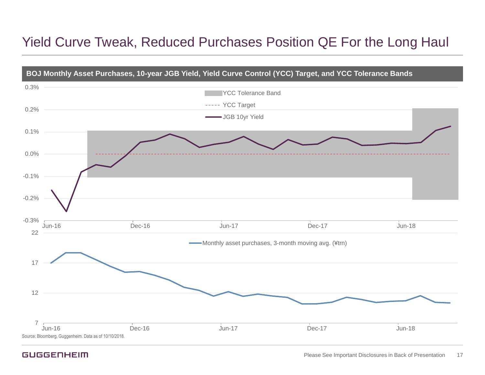### Yield Curve Tweak, Reduced Purchases Position QE For the Long Haul

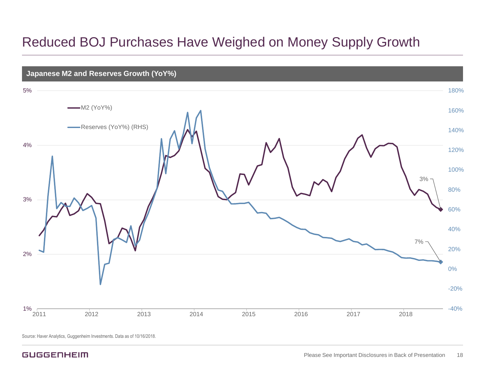### Reduced BOJ Purchases Have Weighed on Money Supply Growth

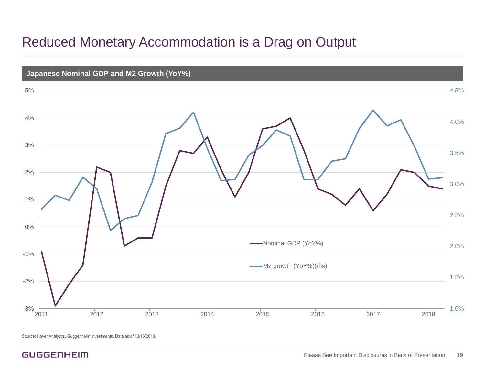### Reduced Monetary Accommodation is a Drag on Output

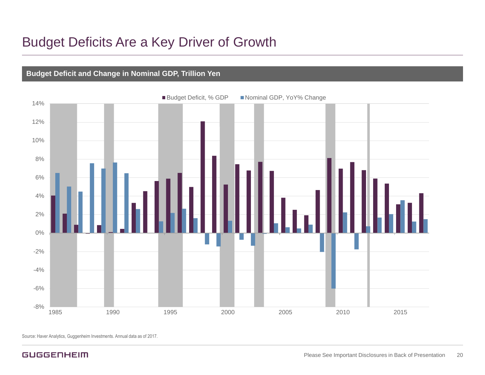### Budget Deficits Are a Key Driver of Growth

#### **Budget Deficit and Change in Nominal GDP, Trillion Yen**



Source: Haver Analytics, Guggenheim Investments. Annual data as of 2017.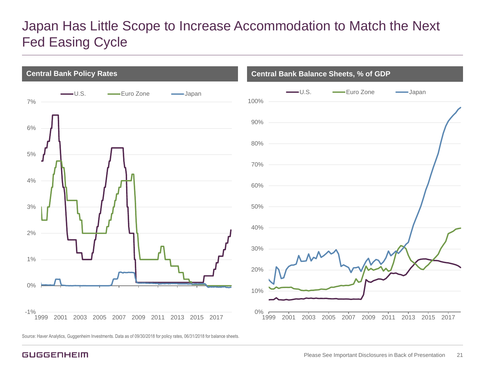### Japan Has Little Scope to Increase Accommodation to Match the Next Fed Easing Cycle



Source: Haver Analytics, Guggenheim Investments. Data as of 09/30/2018 for policy rates, 06/31/2018 for balance sheets.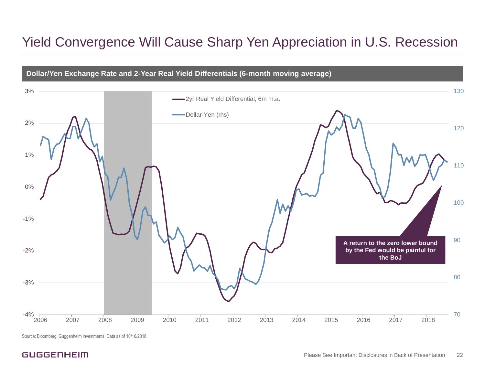### Yield Convergence Will Cause Sharp Yen Appreciation in U.S. Recession

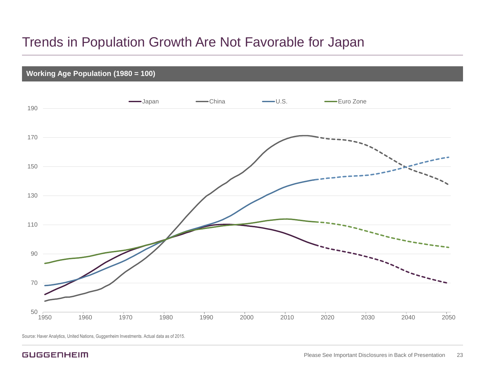### Trends in Population Growth Are Not Favorable for Japan

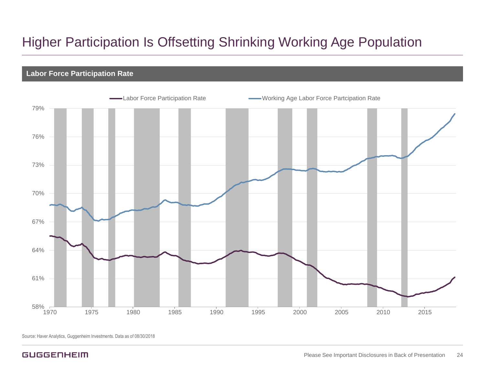### Higher Participation Is Offsetting Shrinking Working Age Population

#### **Labor Force Participation Rate**

![](_page_23_Figure_2.jpeg)

Source: Haver Analytics, Guggenheim Investments. Data as of 08/30/2018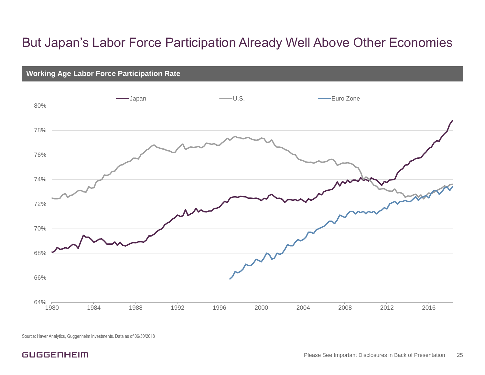### But Japan's Labor Force Participation Already Well Above Other Economies

![](_page_24_Figure_1.jpeg)

Source: Haver Analytics, Guggenheim Investments. Data as of 06/30/2018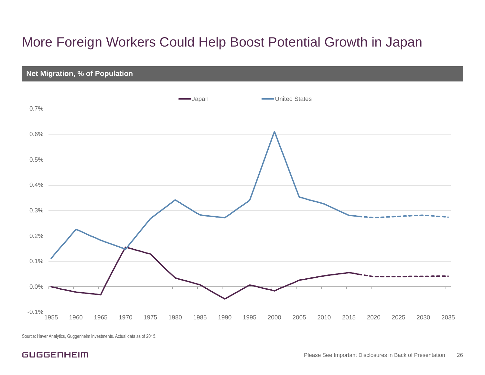### More Foreign Workers Could Help Boost Potential Growth in Japan

![](_page_25_Figure_1.jpeg)

Source: Haver Analytics, Guggenheim Investments. Actual data as of 2015.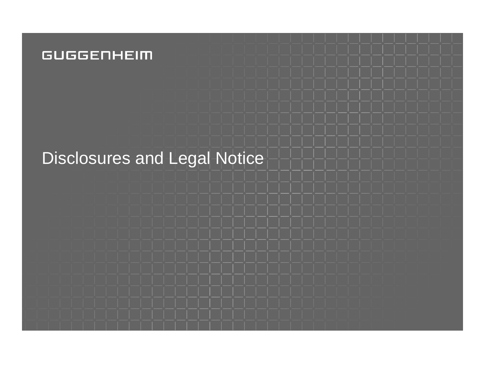### **GUGGENHEIM**

# Disclosures and Legal Notice